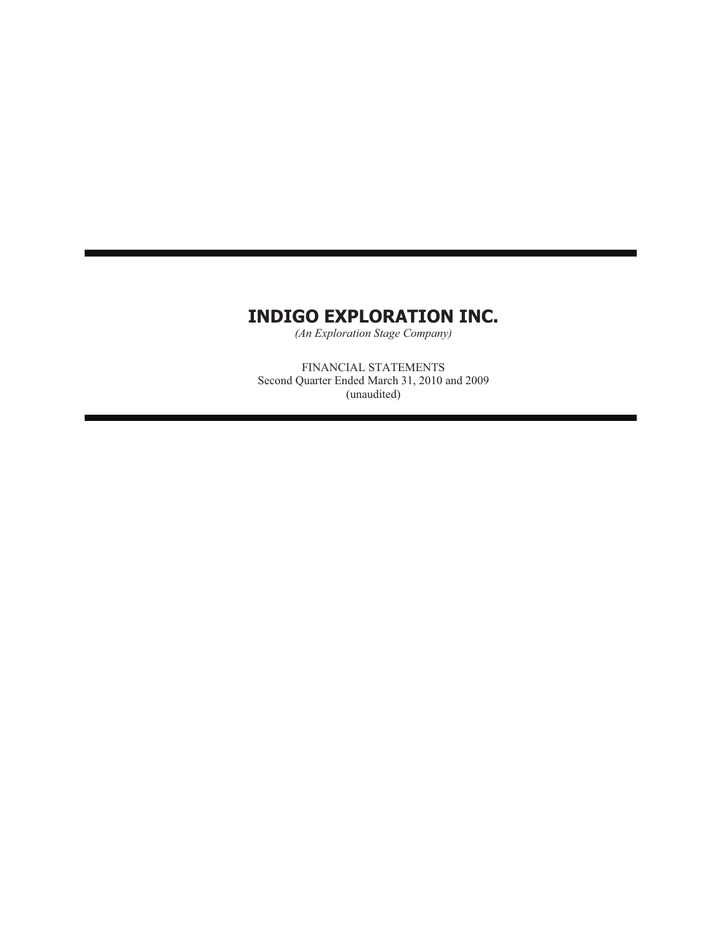*(An Exploration Stage Company)*

FINANCIAL STATEMENTS Second Quarter Ended March 31, 2010 and 2009 (unaudited)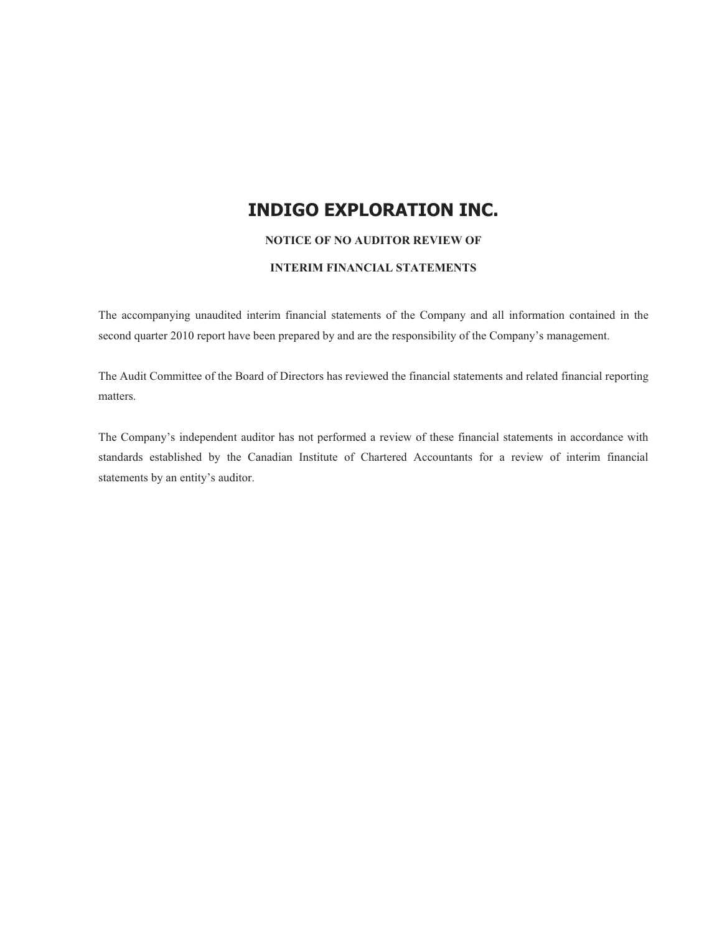#### **NOTICE OF NO AUDITOR REVIEW OF**

#### **INTERIM FINANCIAL STATEMENTS**

The accompanying unaudited interim financial statements of the Company and all information contained in the second quarter 2010 report have been prepared by and are the responsibility of the Company's management.

The Audit Committee of the Board of Directors has reviewed the financial statements and related financial reporting matters.

The Company's independent auditor has not performed a review of these financial statements in accordance with standards established by the Canadian Institute of Chartered Accountants for a review of interim financial statements by an entity's auditor.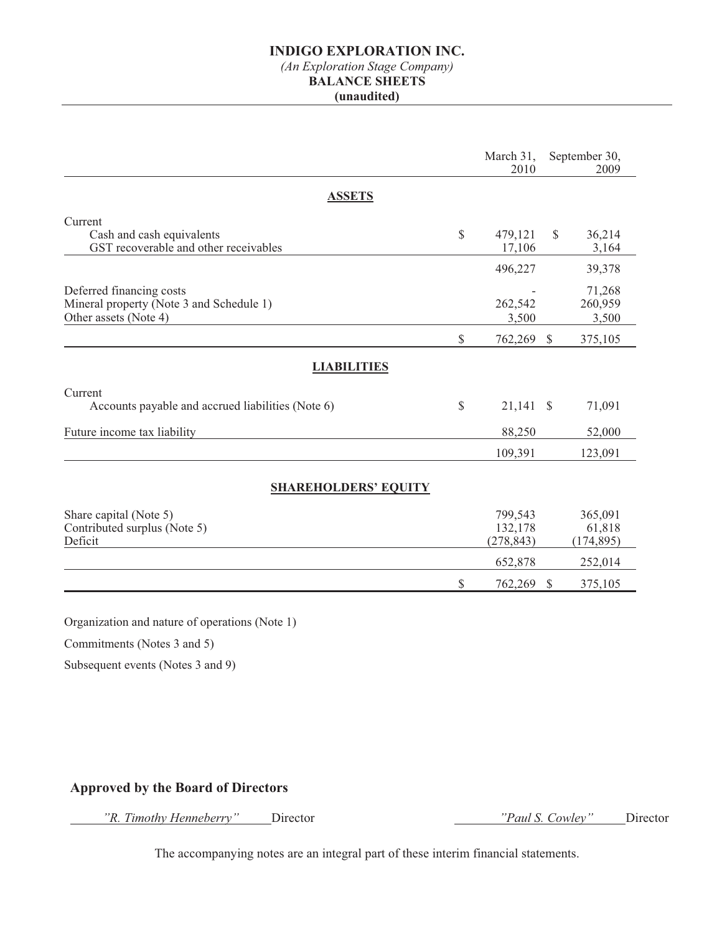# *(An Exploration Stage Company)*

### **BALANCE SHEETS**

#### **(unaudited)**

|                                                                                               |    | March 31,<br>2010                |              | September 30,<br>2009                |
|-----------------------------------------------------------------------------------------------|----|----------------------------------|--------------|--------------------------------------|
| <b>ASSETS</b>                                                                                 |    |                                  |              |                                      |
| Current<br>Cash and cash equivalents<br>GST recoverable and other receivables                 | \$ | 479,121<br>17,106                | $\mathbb{S}$ | 36,214<br>3,164                      |
| Deferred financing costs<br>Mineral property (Note 3 and Schedule 1)<br>Other assets (Note 4) |    | 496,227<br>262,542<br>3,500      |              | 39,378<br>71,268<br>260,959<br>3,500 |
|                                                                                               | \$ | 762,269 \$                       |              | 375,105                              |
| <b>LIABILITIES</b>                                                                            |    |                                  |              |                                      |
| Current<br>Accounts payable and accrued liabilities (Note 6)                                  | \$ | $21,141$ \$                      |              | 71,091                               |
| Future income tax liability                                                                   |    | 88,250                           |              | 52,000                               |
|                                                                                               |    | 109,391                          |              | 123,091                              |
| <b>SHAREHOLDERS' EQUITY</b>                                                                   |    |                                  |              |                                      |
| Share capital (Note 5)<br>Contributed surplus (Note 5)<br>Deficit                             |    | 799,543<br>132,178<br>(278, 843) |              | 365,091<br>61,818<br>(174, 895)      |
|                                                                                               |    | 652,878                          |              | 252,014                              |
|                                                                                               | S  | 762,269                          | $\mathbb{S}$ | 375,105                              |

Organization and nature of operations (Note 1)

Commitments (Notes 3 and 5)

Subsequent events (Notes 3 and 9)

### **Approved by the Board of Directors**

 *"R. Timothy Henneberry"* Director *"Paul S. Cowley"* Director

The accompanying notes are an integral part of these interim financial statements.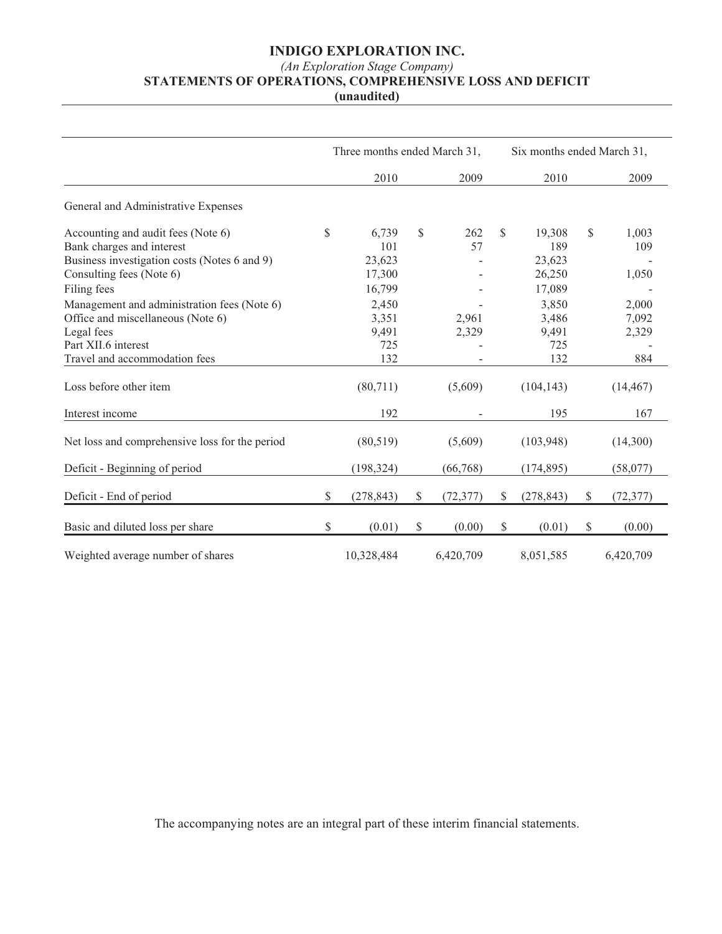### *(An Exploration Stage Company)*

## **STATEMENTS OF OPERATIONS, COMPREHENSIVE LOSS AND DEFICIT**

**(unaudited)**

|                                                                                  | Three months ended March 31, |                  |               | Six months ended March 31, |               |                  |              |                |
|----------------------------------------------------------------------------------|------------------------------|------------------|---------------|----------------------------|---------------|------------------|--------------|----------------|
|                                                                                  |                              | 2010             |               | 2009                       |               | 2010             |              | 2009           |
| General and Administrative Expenses                                              |                              |                  |               |                            |               |                  |              |                |
| Accounting and audit fees (Note 6)<br>Bank charges and interest                  | \$                           | 6,739<br>101     | <sup>\$</sup> | 262<br>57                  | \$            | 19,308<br>189    | \$           | 1,003<br>109   |
| Business investigation costs (Notes 6 and 9)<br>Consulting fees (Note 6)         |                              | 23,623<br>17,300 |               |                            |               | 23,623<br>26,250 |              | 1,050          |
| Filing fees                                                                      |                              | 16,799           |               |                            |               | 17,089           |              |                |
| Management and administration fees (Note 6)<br>Office and miscellaneous (Note 6) |                              | 2,450<br>3,351   |               | 2,961                      |               | 3,850<br>3,486   |              | 2,000<br>7,092 |
| Legal fees                                                                       |                              | 9,491            |               | 2,329                      |               | 9,491            |              | 2,329          |
| Part XII.6 interest<br>Travel and accommodation fees                             |                              | 725<br>132       |               |                            |               | 725<br>132       |              | 884            |
| Loss before other item                                                           |                              | (80,711)         |               | (5,609)                    |               | (104, 143)       |              | (14, 467)      |
| Interest income                                                                  |                              | 192              |               | $\overline{\phantom{a}}$   |               | 195              |              | 167            |
| Net loss and comprehensive loss for the period                                   |                              | (80, 519)        |               | (5,609)                    |               | (103,948)        |              | (14,300)       |
| Deficit - Beginning of period                                                    |                              | (198, 324)       |               | (66,768)                   |               | (174, 895)       |              | (58,077)       |
| Deficit - End of period                                                          | \$                           | (278, 843)       | \$            | (72, 377)                  | $\mathcal{S}$ | (278, 843)       | $\mathbb{S}$ | (72, 377)      |
| Basic and diluted loss per share                                                 | \$                           | (0.01)           | $\mathbb{S}$  | (0.00)                     | $\mathbb{S}$  | (0.01)           | $\mathbb{S}$ | (0.00)         |
| Weighted average number of shares                                                |                              | 10,328,484       |               | 6,420,709                  |               | 8,051,585        |              | 6,420,709      |

The accompanying notes are an integral part of these interim financial statements.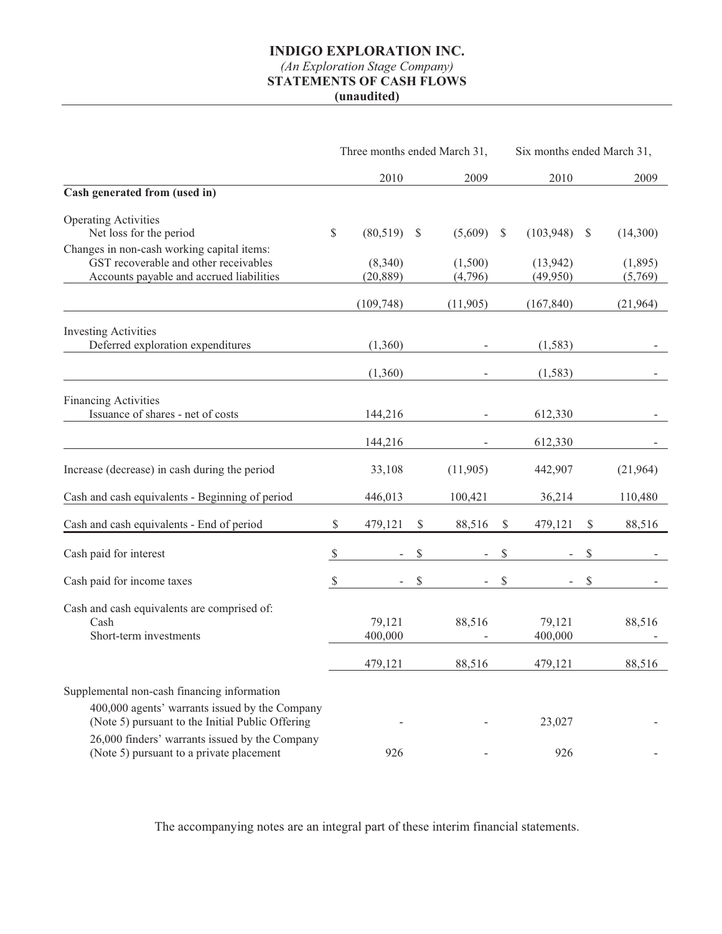### *(An Exploration Stage Company)*  **STATEMENTS OF CASH FLOWS**

**(unaudited)**

|                                                                                                                                                   | Three months ended March 31, |                      |              |                    |              | Six months ended March 31, |               |                    |
|---------------------------------------------------------------------------------------------------------------------------------------------------|------------------------------|----------------------|--------------|--------------------|--------------|----------------------------|---------------|--------------------|
|                                                                                                                                                   |                              | 2010                 |              | 2009               |              | 2010                       |               | 2009               |
| Cash generated from (used in)                                                                                                                     |                              |                      |              |                    |              |                            |               |                    |
| <b>Operating Activities</b><br>Net loss for the period                                                                                            | $\mathbb{S}$                 | (80, 519)            | $\mathbb{S}$ | (5,609)            | $\mathbb{S}$ | (103, 948)                 | <sup>\$</sup> | (14,300)           |
| Changes in non-cash working capital items:<br>GST recoverable and other receivables<br>Accounts payable and accrued liabilities                   |                              | (8,340)<br>(20, 889) |              | (1,500)<br>(4,796) |              | (13, 942)<br>(49,950)      |               | (1,895)<br>(5,769) |
|                                                                                                                                                   |                              | (109, 748)           |              | (11,905)           |              | (167, 840)                 |               | (21,964)           |
| <b>Investing Activities</b><br>Deferred exploration expenditures                                                                                  |                              | (1,360)              |              |                    |              | (1, 583)                   |               |                    |
|                                                                                                                                                   |                              | (1,360)              |              |                    |              | (1, 583)                   |               |                    |
| <b>Financing Activities</b><br>Issuance of shares - net of costs                                                                                  |                              | 144,216              |              |                    |              | 612,330                    |               |                    |
|                                                                                                                                                   |                              | 144,216              |              |                    |              | 612,330                    |               |                    |
| Increase (decrease) in cash during the period                                                                                                     |                              | 33,108               |              | (11,905)           |              | 442,907                    |               | (21,964)           |
| Cash and cash equivalents - Beginning of period                                                                                                   |                              | 446,013              |              | 100,421            |              | 36,214                     |               | 110,480            |
| Cash and cash equivalents - End of period                                                                                                         | \$                           | 479,121              | \$           | 88,516             | \$           | 479,121                    | \$            | 88,516             |
| Cash paid for interest                                                                                                                            | $\boldsymbol{\mathcal{S}}$   |                      | \$           | $\blacksquare$     | \$           |                            | \$            |                    |
| Cash paid for income taxes                                                                                                                        | $\mathbb{S}$                 |                      | \$           |                    | \$           |                            | \$            |                    |
| Cash and cash equivalents are comprised of:<br>Cash<br>Short-term investments                                                                     |                              | 79,121<br>400,000    |              | 88,516             |              | 79,121<br>400,000          |               | 88,516             |
|                                                                                                                                                   |                              | 479,121              |              | 88,516             |              | 479,121                    |               | 88,516             |
| Supplemental non-cash financing information<br>400,000 agents' warrants issued by the Company<br>(Note 5) pursuant to the Initial Public Offering |                              |                      |              |                    |              | 23,027                     |               |                    |
| 26,000 finders' warrants issued by the Company<br>(Note 5) pursuant to a private placement                                                        |                              | 926                  |              |                    |              | 926                        |               |                    |

The accompanying notes are an integral part of these interim financial statements.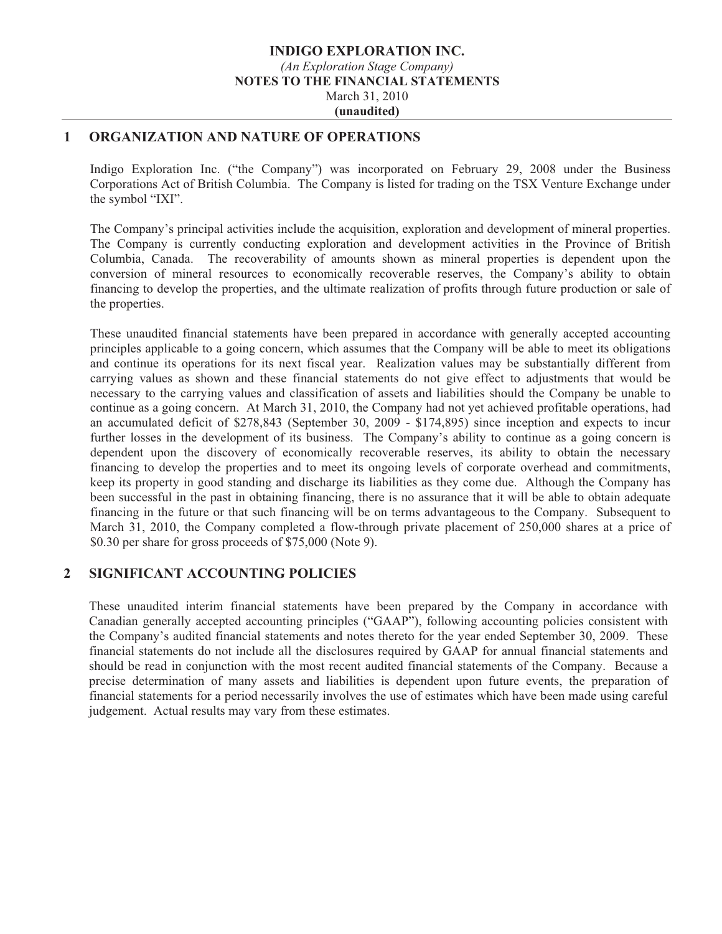#### **INDIGO EXPLORATION INC.**  *(An Exploration Stage Company)*  **NOTES TO THE FINANCIAL STATEMENTS**  March 31, 2010 **(unaudited)**

### **1 ORGANIZATION AND NATURE OF OPERATIONS**

Indigo Exploration Inc. ("the Company") was incorporated on February 29, 2008 under the Business Corporations Act of British Columbia. The Company is listed for trading on the TSX Venture Exchange under the symbol "IXI".

The Company's principal activities include the acquisition, exploration and development of mineral properties. The Company is currently conducting exploration and development activities in the Province of British Columbia, Canada. The recoverability of amounts shown as mineral properties is dependent upon the conversion of mineral resources to economically recoverable reserves, the Company's ability to obtain financing to develop the properties, and the ultimate realization of profits through future production or sale of the properties.

These unaudited financial statements have been prepared in accordance with generally accepted accounting principles applicable to a going concern, which assumes that the Company will be able to meet its obligations and continue its operations for its next fiscal year. Realization values may be substantially different from carrying values as shown and these financial statements do not give effect to adjustments that would be necessary to the carrying values and classification of assets and liabilities should the Company be unable to continue as a going concern. At March 31, 2010, the Company had not yet achieved profitable operations, had an accumulated deficit of \$278,843 (September 30, 2009 - \$174,895) since inception and expects to incur further losses in the development of its business. The Company's ability to continue as a going concern is dependent upon the discovery of economically recoverable reserves, its ability to obtain the necessary financing to develop the properties and to meet its ongoing levels of corporate overhead and commitments, keep its property in good standing and discharge its liabilities as they come due. Although the Company has been successful in the past in obtaining financing, there is no assurance that it will be able to obtain adequate financing in the future or that such financing will be on terms advantageous to the Company. Subsequent to March 31, 2010, the Company completed a flow-through private placement of 250,000 shares at a price of \$0.30 per share for gross proceeds of \$75,000 (Note 9).

### **2 SIGNIFICANT ACCOUNTING POLICIES**

These unaudited interim financial statements have been prepared by the Company in accordance with Canadian generally accepted accounting principles ("GAAP"), following accounting policies consistent with the Company's audited financial statements and notes thereto for the year ended September 30, 2009. These financial statements do not include all the disclosures required by GAAP for annual financial statements and should be read in conjunction with the most recent audited financial statements of the Company. Because a precise determination of many assets and liabilities is dependent upon future events, the preparation of financial statements for a period necessarily involves the use of estimates which have been made using careful judgement. Actual results may vary from these estimates.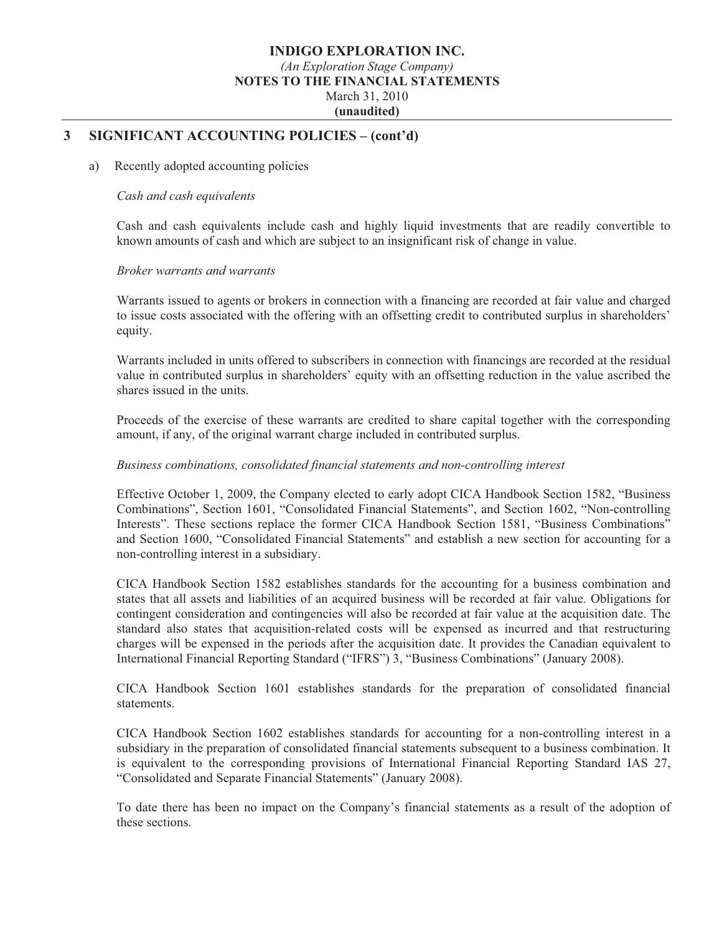#### **INDIGO EXPLORATION INC.**  *(An Exploration Stage Company)*  **NOTES TO THE FINANCIAL STATEMENTS**  March 31, 2010 **(unaudited)**

### **3 SIGNIFICANT ACCOUNTING POLICIES – (cont'd)**

#### a) Recently adopted accounting policies

#### *Cash and cash equivalents*

Cash and cash equivalents include cash and highly liquid investments that are readily convertible to known amounts of cash and which are subject to an insignificant risk of change in value.

#### *Broker warrants and warrants*

Warrants issued to agents or brokers in connection with a financing are recorded at fair value and charged to issue costs associated with the offering with an offsetting credit to contributed surplus in shareholders' equity.

Warrants included in units offered to subscribers in connection with financings are recorded at the residual value in contributed surplus in shareholders' equity with an offsetting reduction in the value ascribed the shares issued in the units.

Proceeds of the exercise of these warrants are credited to share capital together with the corresponding amount, if any, of the original warrant charge included in contributed surplus.

#### *Business combinations, consolidated financial statements and non-controlling interest*

Effective October 1, 2009, the Company elected to early adopt CICA Handbook Section 1582, "Business Combinations", Section 1601, "Consolidated Financial Statements", and Section 1602, "Non-controlling Interests". These sections replace the former CICA Handbook Section 1581, "Business Combinations" and Section 1600, "Consolidated Financial Statements" and establish a new section for accounting for a non-controlling interest in a subsidiary.

CICA Handbook Section 1582 establishes standards for the accounting for a business combination and states that all assets and liabilities of an acquired business will be recorded at fair value. Obligations for contingent consideration and contingencies will also be recorded at fair value at the acquisition date. The standard also states that acquisition-related costs will be expensed as incurred and that restructuring charges will be expensed in the periods after the acquisition date. It provides the Canadian equivalent to International Financial Reporting Standard ("IFRS") 3, "Business Combinations" (January 2008).

CICA Handbook Section 1601 establishes standards for the preparation of consolidated financial statements.

CICA Handbook Section 1602 establishes standards for accounting for a non-controlling interest in a subsidiary in the preparation of consolidated financial statements subsequent to a business combination. It is equivalent to the corresponding provisions of International Financial Reporting Standard IAS 27, "Consolidated and Separate Financial Statements" (January 2008).

To date there has been no impact on the Company's financial statements as a result of the adoption of these sections.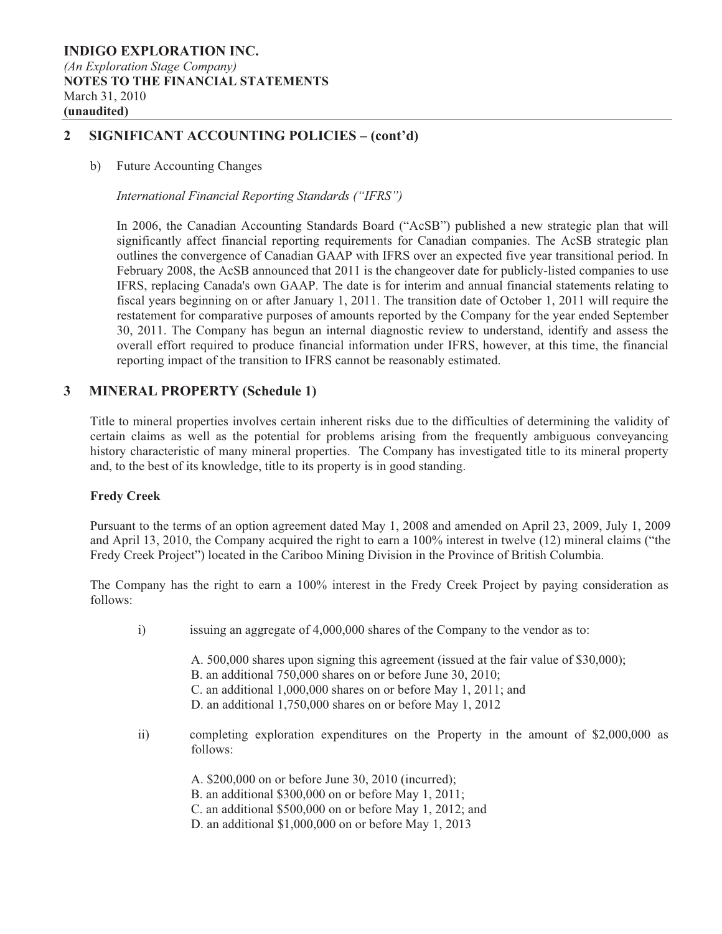### **2 SIGNIFICANT ACCOUNTING POLICIES – (cont'd)**

b) Future Accounting Changes

*International Financial Reporting Standards ("IFRS")* 

In 2006, the Canadian Accounting Standards Board ("AcSB") published a new strategic plan that will significantly affect financial reporting requirements for Canadian companies. The AcSB strategic plan outlines the convergence of Canadian GAAP with IFRS over an expected five year transitional period. In February 2008, the AcSB announced that 2011 is the changeover date for publicly-listed companies to use IFRS, replacing Canada's own GAAP. The date is for interim and annual financial statements relating to fiscal years beginning on or after January 1, 2011. The transition date of October 1, 2011 will require the restatement for comparative purposes of amounts reported by the Company for the year ended September 30, 2011. The Company has begun an internal diagnostic review to understand, identify and assess the overall effort required to produce financial information under IFRS, however, at this time, the financial reporting impact of the transition to IFRS cannot be reasonably estimated.

### **3 MINERAL PROPERTY (Schedule 1)**

Title to mineral properties involves certain inherent risks due to the difficulties of determining the validity of certain claims as well as the potential for problems arising from the frequently ambiguous conveyancing history characteristic of many mineral properties. The Company has investigated title to its mineral property and, to the best of its knowledge, title to its property is in good standing.

#### **Fredy Creek**

Pursuant to the terms of an option agreement dated May 1, 2008 and amended on April 23, 2009, July 1, 2009 and April 13, 2010, the Company acquired the right to earn a 100% interest in twelve (12) mineral claims ("the Fredy Creek Project") located in the Cariboo Mining Division in the Province of British Columbia.

The Company has the right to earn a 100% interest in the Fredy Creek Project by paying consideration as follows:

- i) issuing an aggregate of 4,000,000 shares of the Company to the vendor as to:
	- A. 500,000 shares upon signing this agreement (issued at the fair value of \$30,000);
		- B. an additional 750,000 shares on or before June 30, 2010;
		- C. an additional 1,000,000 shares on or before May 1, 2011; and
		- D. an additional 1,750,000 shares on or before May 1, 2012
- ii) completing exploration expenditures on the Property in the amount of \$2,000,000 as follows:
	- A. \$200,000 on or before June 30, 2010 (incurred);
	- B. an additional \$300,000 on or before May 1, 2011;
	- C. an additional \$500,000 on or before May 1, 2012; and
	- D. an additional \$1,000,000 on or before May 1, 2013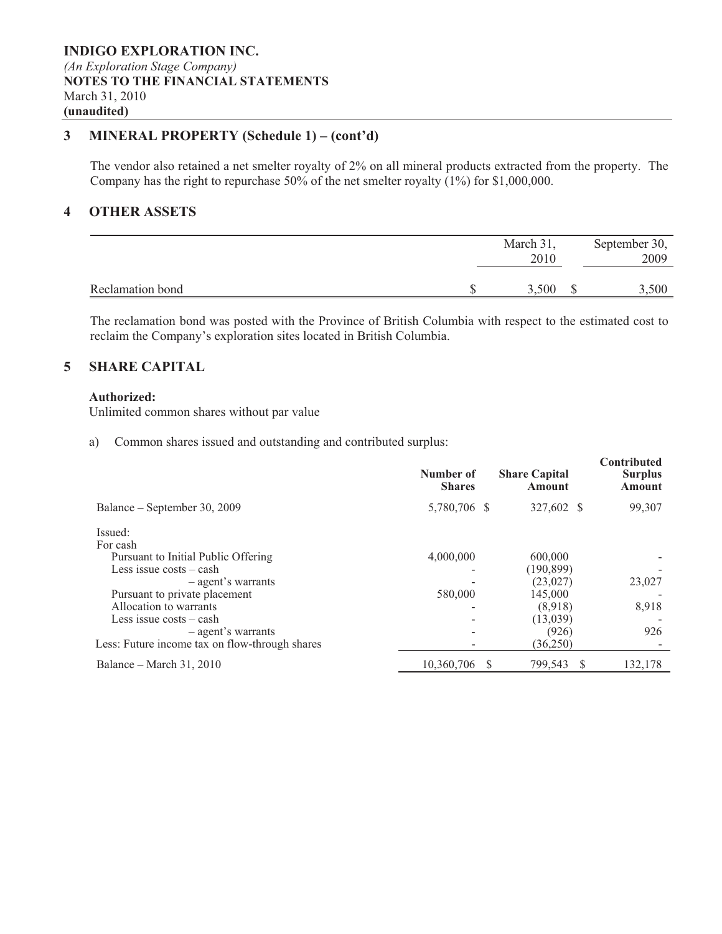### **3 MINERAL PROPERTY (Schedule 1) – (cont'd)**

The vendor also retained a net smelter royalty of 2% on all mineral products extracted from the property. The Company has the right to repurchase 50% of the net smelter royalty (1%) for \$1,000,000.

### **4 OTHER ASSETS**

|                  | March 31,<br>2010 | September 30,<br>2009 |
|------------------|-------------------|-----------------------|
| Reclamation bond | 3,500             | 3,500                 |

The reclamation bond was posted with the Province of British Columbia with respect to the estimated cost to reclaim the Company's exploration sites located in British Columbia.

### **5 SHARE CAPITAL**

#### **Authorized:**

Unlimited common shares without par value

a) Common shares issued and outstanding and contributed surplus:

|                                                                      | Number of<br><b>Shares</b> | <b>Share Capital</b><br>Amount |    | Contributed<br><b>Surplus</b><br><b>Amount</b> |
|----------------------------------------------------------------------|----------------------------|--------------------------------|----|------------------------------------------------|
| Balance – September 30, 2009                                         | 5,780,706 \$               | 327,602 \$                     |    | 99,307                                         |
| Issued:<br>For cash<br>Pursuant to Initial Public Offering           | 4,000,000                  | 600,000                        |    |                                                |
| Less issue $costs - cash$                                            |                            | (190, 899)                     |    |                                                |
| - agent's warrants<br>Pursuant to private placement                  | 580,000                    | (23,027)<br>145,000            |    | 23,027                                         |
| Allocation to warrants<br>Less issue $costs - cash$                  |                            | (8,918)<br>(13,039)            |    | 8,918                                          |
| - agent's warrants<br>Less: Future income tax on flow-through shares |                            | (926)<br>(36,250)              |    | 926                                            |
| Balance – March 31, 2010                                             | 10,360,706                 | 799,543                        | -S | 132,178                                        |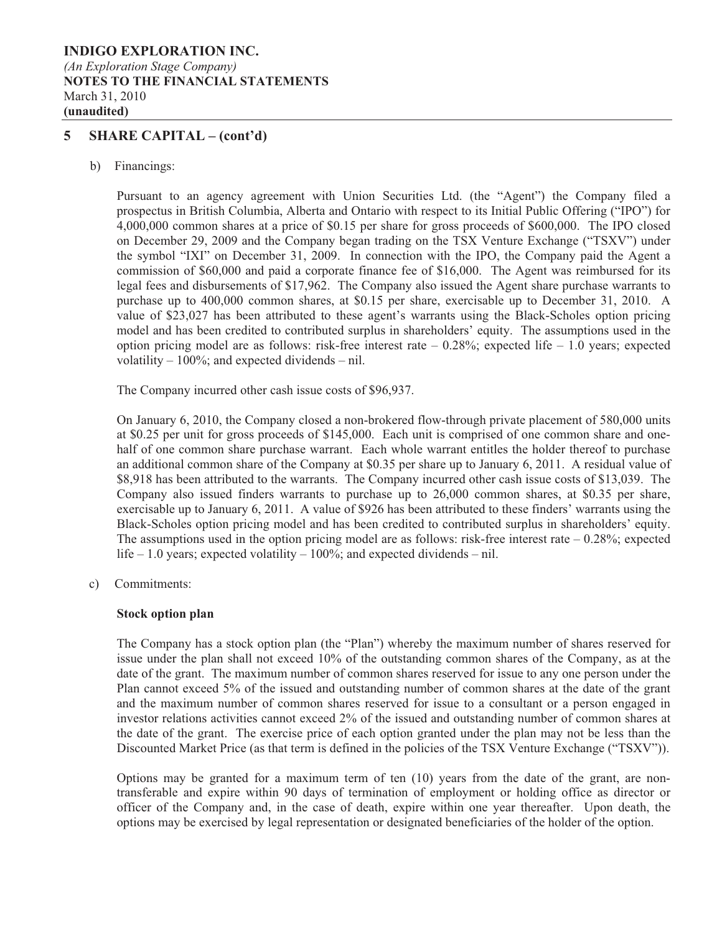#### **INDIGO EXPLORATION INC.**  *(An Exploration Stage Company)*  **NOTES TO THE FINANCIAL STATEMENTS**  March 31, 2010 **(unaudited)**

### **5 SHARE CAPITAL – (cont'd)**

b) Financings:

Pursuant to an agency agreement with Union Securities Ltd. (the "Agent") the Company filed a prospectus in British Columbia, Alberta and Ontario with respect to its Initial Public Offering ("IPO") for 4,000,000 common shares at a price of \$0.15 per share for gross proceeds of \$600,000. The IPO closed on December 29, 2009 and the Company began trading on the TSX Venture Exchange ("TSXV") under the symbol "IXI" on December 31, 2009. In connection with the IPO, the Company paid the Agent a commission of \$60,000 and paid a corporate finance fee of \$16,000. The Agent was reimbursed for its legal fees and disbursements of \$17,962. The Company also issued the Agent share purchase warrants to purchase up to 400,000 common shares, at \$0.15 per share, exercisable up to December 31, 2010. A value of \$23,027 has been attributed to these agent's warrants using the Black-Scholes option pricing model and has been credited to contributed surplus in shareholders' equity. The assumptions used in the option pricing model are as follows: risk-free interest rate  $-0.28\%$ ; expected life  $-1.0$  years; expected volatility  $-100\%$ ; and expected dividends  $-$  nil.

The Company incurred other cash issue costs of \$96,937.

On January 6, 2010, the Company closed a non-brokered flow-through private placement of 580,000 units at \$0.25 per unit for gross proceeds of \$145,000. Each unit is comprised of one common share and onehalf of one common share purchase warrant. Each whole warrant entitles the holder thereof to purchase an additional common share of the Company at \$0.35 per share up to January 6, 2011. A residual value of \$8,918 has been attributed to the warrants. The Company incurred other cash issue costs of \$13,039. The Company also issued finders warrants to purchase up to 26,000 common shares, at \$0.35 per share, exercisable up to January 6, 2011. A value of \$926 has been attributed to these finders' warrants using the Black-Scholes option pricing model and has been credited to contributed surplus in shareholders' equity. The assumptions used in the option pricing model are as follows: risk-free interest rate  $-0.28\%$ ; expected life – 1.0 years; expected volatility –  $100\%$ ; and expected dividends – nil.

c) Commitments:

#### **Stock option plan**

The Company has a stock option plan (the "Plan") whereby the maximum number of shares reserved for issue under the plan shall not exceed 10% of the outstanding common shares of the Company, as at the date of the grant. The maximum number of common shares reserved for issue to any one person under the Plan cannot exceed 5% of the issued and outstanding number of common shares at the date of the grant and the maximum number of common shares reserved for issue to a consultant or a person engaged in investor relations activities cannot exceed 2% of the issued and outstanding number of common shares at the date of the grant. The exercise price of each option granted under the plan may not be less than the Discounted Market Price (as that term is defined in the policies of the TSX Venture Exchange ("TSXV")).

Options may be granted for a maximum term of ten (10) years from the date of the grant, are nontransferable and expire within 90 days of termination of employment or holding office as director or officer of the Company and, in the case of death, expire within one year thereafter. Upon death, the options may be exercised by legal representation or designated beneficiaries of the holder of the option.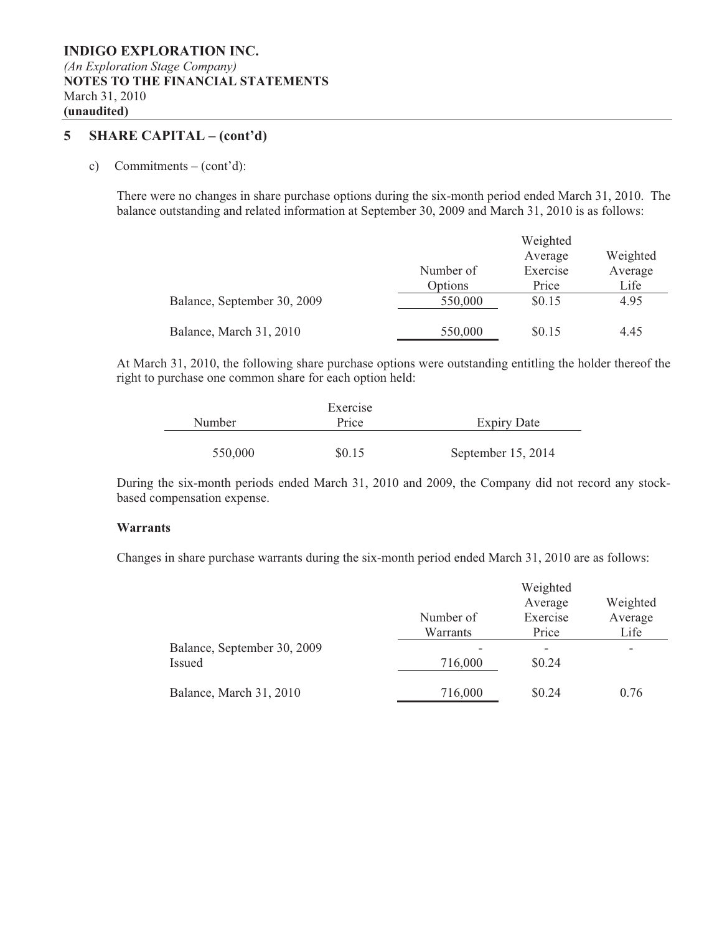### **5 SHARE CAPITAL – (cont'd)**

c) Commitments – (cont'd):

There were no changes in share purchase options during the six-month period ended March 31, 2010. The balance outstanding and related information at September 30, 2009 and March 31, 2010 is as follows:

|                             |           | Weighted |          |  |  |  |
|-----------------------------|-----------|----------|----------|--|--|--|
|                             |           | Average  | Weighted |  |  |  |
|                             | Number of | Exercise | Average  |  |  |  |
|                             | Options   | Price    | Life     |  |  |  |
| Balance, September 30, 2009 | 550,000   | \$0.15   | 4.95     |  |  |  |
| Balance, March 31, 2010     | 550,000   | \$0.15   | 4.45     |  |  |  |

At March 31, 2010, the following share purchase options were outstanding entitling the holder thereof the right to purchase one common share for each option held:

|         | Exercise |                    |
|---------|----------|--------------------|
| Number  | Price    | <b>Expiry Date</b> |
|         |          |                    |
| 550,000 | \$0.15   | September 15, 2014 |

During the six-month periods ended March 31, 2010 and 2009, the Company did not record any stockbased compensation expense.

#### **Warrants**

Changes in share purchase warrants during the six-month period ended March 31, 2010 are as follows:

|                                       | Number of<br>Warrants | Weighted<br>Average<br>Exercise<br>Price | Weighted<br>Average<br>Life |
|---------------------------------------|-----------------------|------------------------------------------|-----------------------------|
| Balance, September 30, 2009<br>Issued | 716,000               | \$0.24                                   | ۰                           |
| Balance, March 31, 2010               | 716,000               | \$0.24                                   | 0.76                        |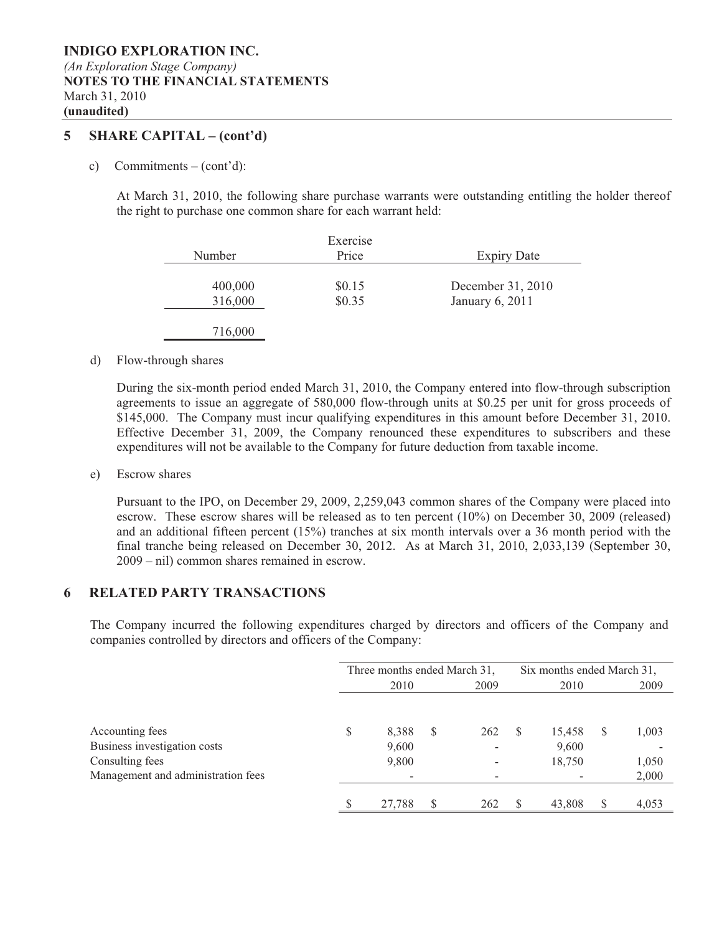### **5 SHARE CAPITAL – (cont'd)**

c) Commitments – (cont'd):

At March 31, 2010, the following share purchase warrants were outstanding entitling the holder thereof the right to purchase one common share for each warrant held:

| Number  | Exercise<br>Price | <b>Expiry Date</b> |
|---------|-------------------|--------------------|
| 400,000 | \$0.15            | December 31, 2010  |
| 316,000 | \$0.35            | January 6, 2011    |
| 716,000 |                   |                    |

#### d) Flow-through shares

During the six-month period ended March 31, 2010, the Company entered into flow-through subscription agreements to issue an aggregate of 580,000 flow-through units at \$0.25 per unit for gross proceeds of \$145,000. The Company must incur qualifying expenditures in this amount before December 31, 2010. Effective December 31, 2009, the Company renounced these expenditures to subscribers and these expenditures will not be available to the Company for future deduction from taxable income.

e) Escrow shares

Pursuant to the IPO, on December 29, 2009, 2,259,043 common shares of the Company were placed into escrow. These escrow shares will be released as to ten percent (10%) on December 30, 2009 (released) and an additional fifteen percent (15%) tranches at six month intervals over a 36 month period with the final tranche being released on December 30, 2012. As at March 31, 2010, 2,033,139 (September 30, 2009 – nil) common shares remained in escrow.

### **6 RELATED PARTY TRANSACTIONS**

The Company incurred the following expenditures charged by directors and officers of the Company and companies controlled by directors and officers of the Company:

|                                    |   | Three months ended March 31, |    |      | Six months ended March 31, |        |   |       |
|------------------------------------|---|------------------------------|----|------|----------------------------|--------|---|-------|
|                                    |   | 2010                         |    | 2009 | 2010                       |        |   | 2009  |
|                                    |   |                              |    |      |                            |        |   |       |
| Accounting fees                    | S | 8,388                        | \$ | 262  | S                          | 15,458 | S | 1,003 |
| Business investigation costs       |   | 9,600                        |    | -    |                            | 9,600  |   |       |
| Consulting fees                    |   | 9,800                        |    |      |                            | 18,750 |   | 1,050 |
| Management and administration fees |   |                              |    |      |                            |        |   | 2,000 |
|                                    |   | 27,788                       | S  | 262  |                            | 43,808 | S | 4,053 |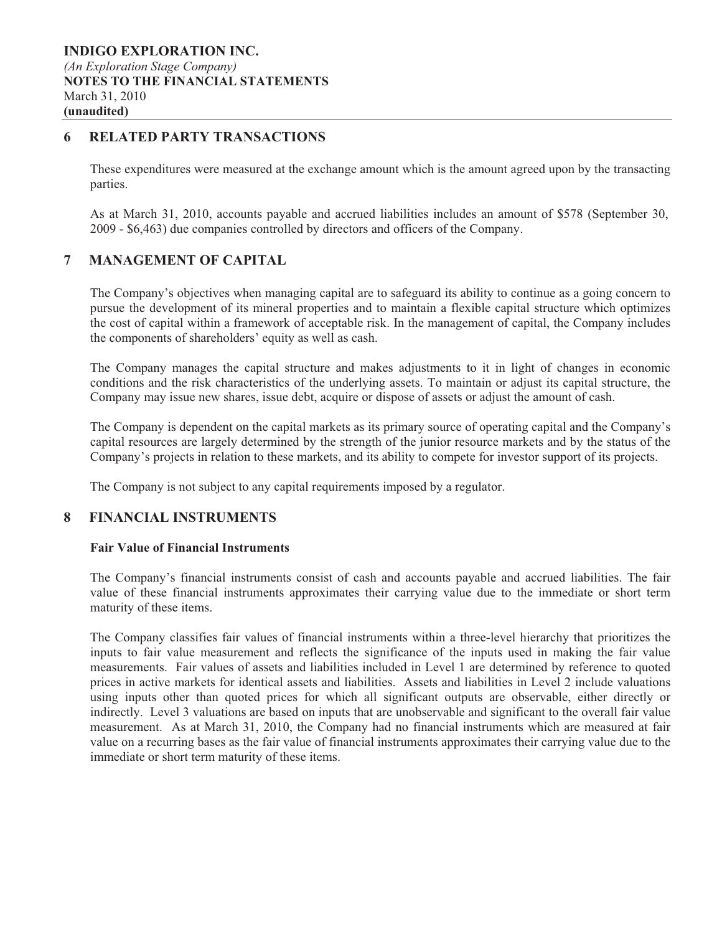### **6 RELATED PARTY TRANSACTIONS**

These expenditures were measured at the exchange amount which is the amount agreed upon by the transacting parties.

As at March 31, 2010, accounts payable and accrued liabilities includes an amount of \$578 (September 30, 2009 - \$6,463) due companies controlled by directors and officers of the Company.

### **7 MANAGEMENT OF CAPITAL**

The Company's objectives when managing capital are to safeguard its ability to continue as a going concern to pursue the development of its mineral properties and to maintain a flexible capital structure which optimizes the cost of capital within a framework of acceptable risk. In the management of capital, the Company includes the components of shareholders' equity as well as cash.

The Company manages the capital structure and makes adjustments to it in light of changes in economic conditions and the risk characteristics of the underlying assets. To maintain or adjust its capital structure, the Company may issue new shares, issue debt, acquire or dispose of assets or adjust the amount of cash.

The Company is dependent on the capital markets as its primary source of operating capital and the Company's capital resources are largely determined by the strength of the junior resource markets and by the status of the Company's projects in relation to these markets, and its ability to compete for investor support of its projects.

The Company is not subject to any capital requirements imposed by a regulator.

### **8 FINANCIAL INSTRUMENTS**

#### **Fair Value of Financial Instruments**

The Company's financial instruments consist of cash and accounts payable and accrued liabilities. The fair value of these financial instruments approximates their carrying value due to the immediate or short term maturity of these items.

The Company classifies fair values of financial instruments within a three-level hierarchy that prioritizes the inputs to fair value measurement and reflects the significance of the inputs used in making the fair value measurements. Fair values of assets and liabilities included in Level 1 are determined by reference to quoted prices in active markets for identical assets and liabilities. Assets and liabilities in Level 2 include valuations using inputs other than quoted prices for which all significant outputs are observable, either directly or indirectly. Level 3 valuations are based on inputs that are unobservable and significant to the overall fair value measurement. As at March 31, 2010, the Company had no financial instruments which are measured at fair value on a recurring bases as the fair value of financial instruments approximates their carrying value due to the immediate or short term maturity of these items.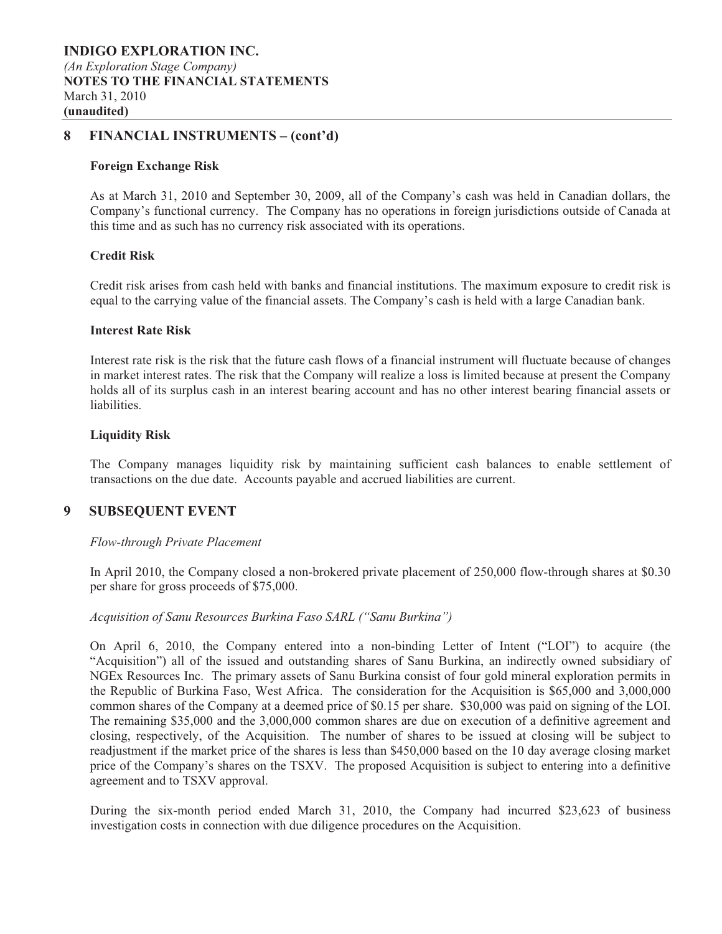### **8 FINANCIAL INSTRUMENTS – (cont'd)**

#### **Foreign Exchange Risk**

As at March 31, 2010 and September 30, 2009, all of the Company's cash was held in Canadian dollars, the Company's functional currency. The Company has no operations in foreign jurisdictions outside of Canada at this time and as such has no currency risk associated with its operations.

#### **Credit Risk**

Credit risk arises from cash held with banks and financial institutions. The maximum exposure to credit risk is equal to the carrying value of the financial assets. The Company's cash is held with a large Canadian bank.

#### **Interest Rate Risk**

Interest rate risk is the risk that the future cash flows of a financial instrument will fluctuate because of changes in market interest rates. The risk that the Company will realize a loss is limited because at present the Company holds all of its surplus cash in an interest bearing account and has no other interest bearing financial assets or liabilities.

#### **Liquidity Risk**

The Company manages liquidity risk by maintaining sufficient cash balances to enable settlement of transactions on the due date. Accounts payable and accrued liabilities are current.

### **9 SUBSEQUENT EVENT**

#### *Flow-through Private Placement*

In April 2010, the Company closed a non-brokered private placement of 250,000 flow-through shares at \$0.30 per share for gross proceeds of \$75,000.

#### *Acquisition of Sanu Resources Burkina Faso SARL ("Sanu Burkina")*

On April 6, 2010, the Company entered into a non-binding Letter of Intent ("LOI") to acquire (the "Acquisition") all of the issued and outstanding shares of Sanu Burkina, an indirectly owned subsidiary of NGEx Resources Inc. The primary assets of Sanu Burkina consist of four gold mineral exploration permits in the Republic of Burkina Faso, West Africa. The consideration for the Acquisition is \$65,000 and 3,000,000 common shares of the Company at a deemed price of \$0.15 per share. \$30,000 was paid on signing of the LOI. The remaining \$35,000 and the 3,000,000 common shares are due on execution of a definitive agreement and closing, respectively, of the Acquisition. The number of shares to be issued at closing will be subject to readjustment if the market price of the shares is less than \$450,000 based on the 10 day average closing market price of the Company's shares on the TSXV. The proposed Acquisition is subject to entering into a definitive agreement and to TSXV approval.

During the six-month period ended March 31, 2010, the Company had incurred \$23,623 of business investigation costs in connection with due diligence procedures on the Acquisition.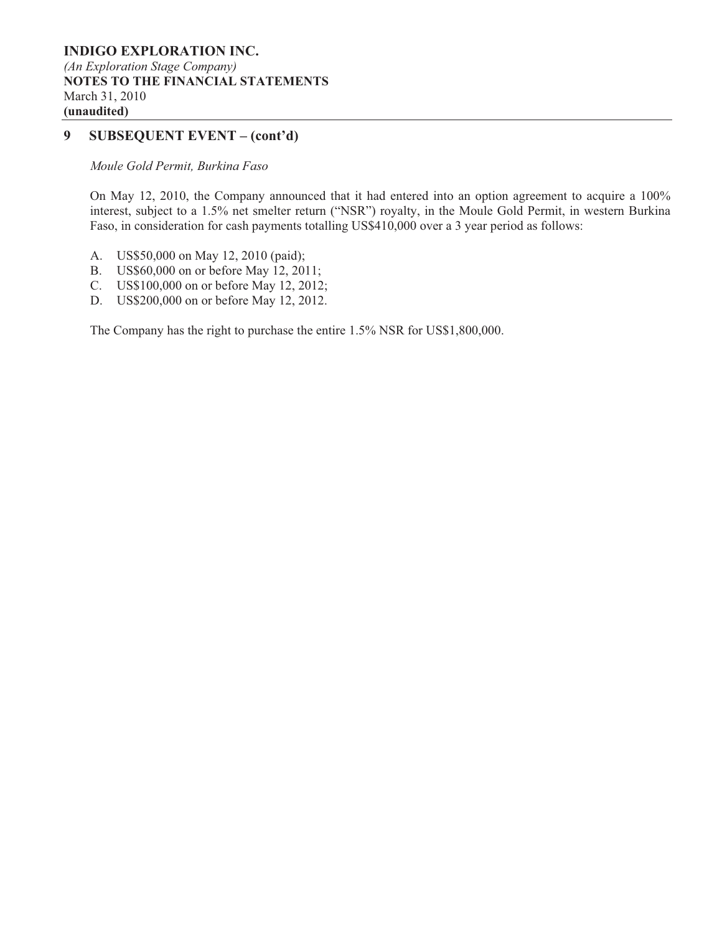### **9 SUBSEQUENT EVENT – (cont'd)**

*Moule Gold Permit, Burkina Faso* 

On May 12, 2010, the Company announced that it had entered into an option agreement to acquire a 100% interest, subject to a 1.5% net smelter return ("NSR") royalty, in the Moule Gold Permit, in western Burkina Faso, in consideration for cash payments totalling US\$410,000 over a 3 year period as follows:

- A. US\$50,000 on May 12, 2010 (paid);
- B. US\$60,000 on or before May 12, 2011;
- C. US\$100,000 on or before May 12, 2012;
- D. US\$200,000 on or before May 12, 2012.

The Company has the right to purchase the entire 1.5% NSR for US\$1,800,000.